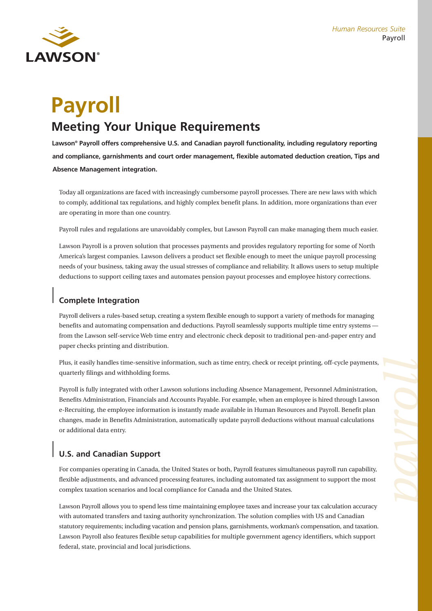

# **Payroll Meeting Your Unique Requirements**

**Lawson® Payroll offers comprehensive U.S. and Canadian payroll functionality, including regulatory reporting and compliance, garnishments and court order management, flexible automated deduction creation, Tips and** 

**Absence Management integration.**

Today all organizations are faced with increasingly cumbersome payroll processes. There are new laws with which to comply, additional tax regulations, and highly complex benefit plans. In addition, more organizations than ever are operating in more than one country.

Payroll rules and regulations are unavoidably complex, but Lawson Payroll can make managing them much easier.

Lawson Payroll is a proven solution that processes payments and provides regulatory reporting for some of North America's largest companies. Lawson delivers a product set flexible enough to meet the unique payroll processing needs of your business, taking away the usual stresses of compliance and reliability. It allows users to setup multiple deductions to support ceiling taxes and automates pension payout processes and employee history corrections.

#### **Complete Integration**

Payroll delivers a rules-based setup, creating a system flexible enough to support a variety of methods for managing benefits and automating compensation and deductions. Payroll seamlessly supports multiple time entry systems from the Lawson self-service Web time entry and electronic check deposit to traditional pen-and-paper entry and paper checks printing and distribution.

Plus, it easily handles time-sensitive information, such as time entry, check or receipt printing, off-cycle payments, quarterly filings and withholding forms.

Payroll is fully integrated with other Lawson solutions including Absence Management, Personnel Administration, Benefits Administration, Financials and Accounts Payable. For example, when an employee is hired through Lawson e-Recruiting, the employee information is instantly made available in Human Resources and Payroll. Benefit plan changes, made in Benefits Administration, automatically update payroll deductions without manual calculations or additional data entry.

## **U.S. and Canadian Support**

For companies operating in Canada, the United States or both, Payroll features simultaneous payroll run capability, flexible adjustments, and advanced processing features, including automated tax assignment to support the most complex taxation scenarios and local compliance for Canada and the United States.

Lawson Payroll allows you to spend less time maintaining employee taxes and increase your tax calculation accuracy with automated transfers and taxing authority synchronization. The solution complies with US and Canadian statutory requirements; including vacation and pension plans, garnishments, workman's compensation, and taxation. Lawson Payroll also features flexible setup capabilities for multiple government agency identifiers, which support federal, state, provincial and local jurisdictions.